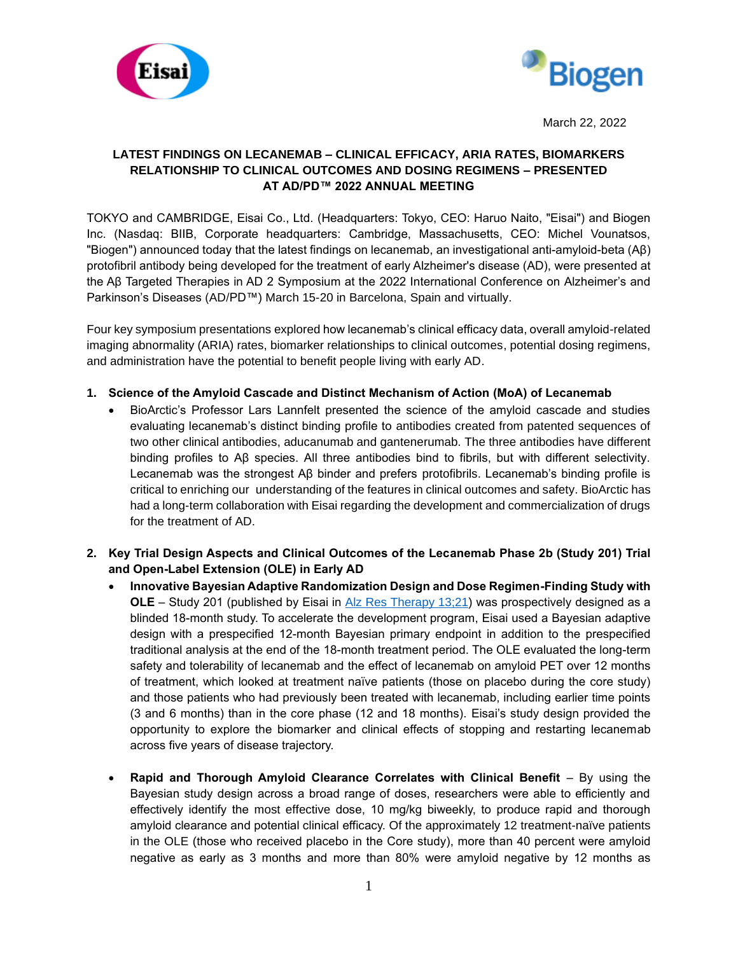



March 22, 2022

# **LATEST FINDINGS ON LECANEMAB – CLINICAL EFFICACY, ARIA RATES, BIOMARKERS RELATIONSHIP TO CLINICAL OUTCOMES AND DOSING REGIMENS – PRESENTED AT AD/PD™ 2022 ANNUAL MEETING**

TOKYO and CAMBRIDGE, Eisai Co., Ltd. (Headquarters: Tokyo, CEO: Haruo Naito, "Eisai") and Biogen Inc. (Nasdaq: BIIB, Corporate headquarters: Cambridge, Massachusetts, CEO: Michel Vounatsos, "Biogen") announced today that the latest findings on lecanemab, an investigational anti-amyloid-beta (Aβ) protofibril antibody being developed for the treatment of early Alzheimer's disease (AD), were presented at the Aβ Targeted Therapies in AD 2 Symposium at the 2022 International Conference on Alzheimer's and Parkinson's Diseases (AD/PD™) March 15-20 in Barcelona, Spain and virtually.

Four key symposium presentations explored how lecanemab's clinical efficacy data, overall amyloid-related imaging abnormality (ARIA) rates, biomarker relationships to clinical outcomes, potential dosing regimens, and administration have the potential to benefit people living with early AD.

# **1. Science of the Amyloid Cascade and Distinct Mechanism of Action (MoA) of Lecanemab**

- BioArctic's Professor Lars Lannfelt presented the science of the amyloid cascade and studies evaluating lecanemab's distinct binding profile to antibodies created from patented sequences of two other clinical antibodies, aducanumab and gantenerumab. The three antibodies have different binding profiles to Aβ species. All three antibodies bind to fibrils, but with different selectivity. Lecanemab was the strongest Aβ binder and prefers protofibrils. Lecanemab's binding profile is critical to enriching our understanding of the features in clinical outcomes and safety. BioArctic has had a long-term collaboration with Eisai regarding the development and commercialization of drugs for the treatment of AD.
- **2. Key Trial Design Aspects and Clinical Outcomes of the Lecanemab Phase 2b (Study 201) Trial and Open-Label Extension (OLE) in Early AD**
	- **Innovative Bayesian Adaptive Randomization Design and Dose Regimen-Finding Study with OLE** – Study 201 (published by Eisai in [Alz Res Therapy 13;21\)](https://alzres.biomedcentral.com/articles/10.1186/s13195-021-00813-8) was prospectively designed as a blinded 18-month study. To accelerate the development program, Eisai used a Bayesian adaptive design with a prespecified 12-month Bayesian primary endpoint in addition to the prespecified traditional analysis at the end of the 18-month treatment period. The OLE evaluated the long-term safety and tolerability of lecanemab and the effect of lecanemab on amyloid PET over 12 months of treatment, which looked at treatment naïve patients (those on placebo during the core study) and those patients who had previously been treated with lecanemab, including earlier time points (3 and 6 months) than in the core phase (12 and 18 months). Eisai's study design provided the opportunity to explore the biomarker and clinical effects of stopping and restarting lecanemab across five years of disease trajectory.
	- **Rapid and Thorough Amyloid Clearance Correlates with Clinical Benefit By using the** Bayesian study design across a broad range of doses, researchers were able to efficiently and effectively identify the most effective dose, 10 mg/kg biweekly, to produce rapid and thorough amyloid clearance and potential clinical efficacy. Of the approximately 12 treatment-naïve patients in the OLE (those who received placebo in the Core study), more than 40 percent were amyloid negative as early as 3 months and more than 80% were amyloid negative by 12 months as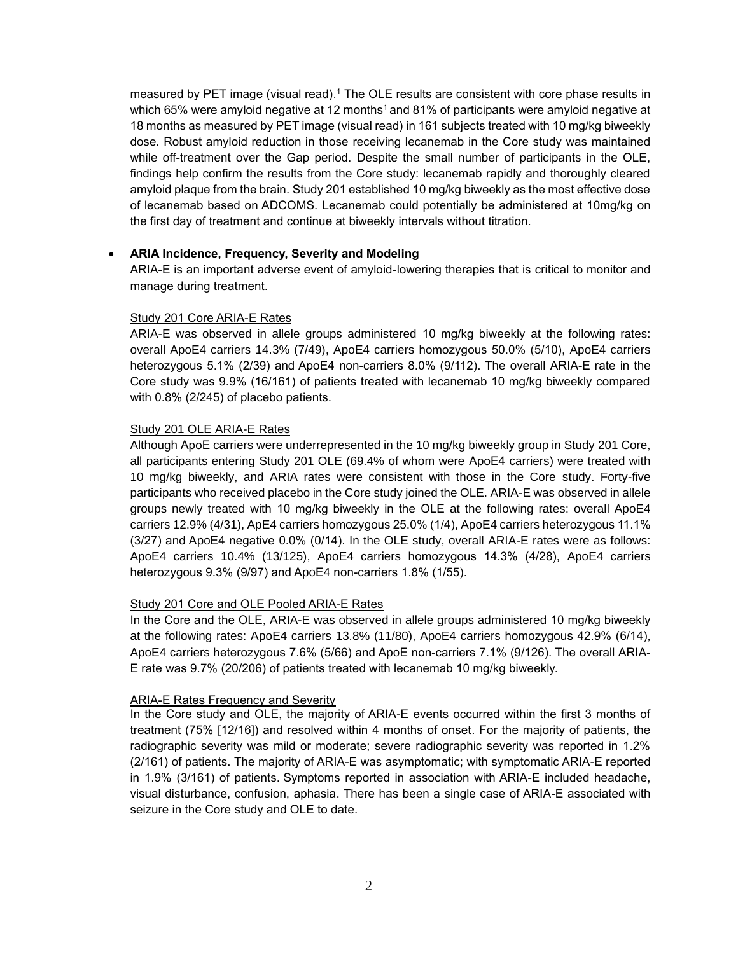measured by PET image (visual read). <sup>1</sup> The OLE results are consistent with core phase results in which 65% were amyloid negative at 12 months<sup>1</sup> and 81% of participants were amyloid negative at 18 months as measured by PET image (visual read) in 161 subjects treated with 10 mg/kg biweekly dose. Robust amyloid reduction in those receiving lecanemab in the Core study was maintained while off-treatment over the Gap period. Despite the small number of participants in the OLE, findings help confirm the results from the Core study: lecanemab rapidly and thoroughly cleared amyloid plaque from the brain. Study 201 established 10 mg/kg biweekly as the most effective dose of lecanemab based on ADCOMS. Lecanemab could potentially be administered at 10mg/kg on the first day of treatment and continue at biweekly intervals without titration.

# • **ARIA Incidence, Frequency, Severity and Modeling**

ARIA-E is an important adverse event of amyloid-lowering therapies that is critical to monitor and manage during treatment.

### Study 201 Core ARIA-E Rates

ARIA-E was observed in allele groups administered 10 mg/kg biweekly at the following rates: overall ApoE4 carriers 14.3% (7/49), ApoE4 carriers homozygous 50.0% (5/10), ApoE4 carriers heterozygous 5.1% (2/39) and ApoE4 non-carriers 8.0% (9/112). The overall ARIA-E rate in the Core study was 9.9% (16/161) of patients treated with lecanemab 10 mg/kg biweekly compared with 0.8% (2/245) of placebo patients.

#### Study 201 OLE ARIA-E Rates

Although ApoE carriers were underrepresented in the 10 mg/kg biweekly group in Study 201 Core, all participants entering Study 201 OLE (69.4% of whom were ApoE4 carriers) were treated with 10 mg/kg biweekly, and ARIA rates were consistent with those in the Core study. Forty-five participants who received placebo in the Core study joined the OLE. ARIA-E was observed in allele groups newly treated with 10 mg/kg biweekly in the OLE at the following rates: overall ApoE4 carriers 12.9% (4/31), ApE4 carriers homozygous 25.0% (1/4), ApoE4 carriers heterozygous 11.1% (3/27) and ApoE4 negative 0.0% (0/14). In the OLE study, overall ARIA-E rates were as follows: ApoE4 carriers 10.4% (13/125), ApoE4 carriers homozygous 14.3% (4/28), ApoE4 carriers heterozygous 9.3% (9/97) and ApoE4 non-carriers 1.8% (1/55).

### Study 201 Core and OLE Pooled ARIA-E Rates

In the Core and the OLE, ARIA-E was observed in allele groups administered 10 mg/kg biweekly at the following rates: ApoE4 carriers 13.8% (11/80), ApoE4 carriers homozygous 42.9% (6/14), ApoE4 carriers heterozygous 7.6% (5/66) and ApoE non-carriers 7.1% (9/126). The overall ARIA-E rate was 9.7% (20/206) of patients treated with lecanemab 10 mg/kg biweekly.

### ARIA-E Rates Frequency and Severity

In the Core study and OLE, the majority of ARIA-E events occurred within the first 3 months of treatment (75% [12/16]) and resolved within 4 months of onset. For the majority of patients, the radiographic severity was mild or moderate; severe radiographic severity was reported in 1.2% (2/161) of patients. The majority of ARIA-E was asymptomatic; with symptomatic ARIA-E reported in 1.9% (3/161) of patients. Symptoms reported in association with ARIA-E included headache, visual disturbance, confusion, aphasia. There has been a single case of ARIA-E associated with seizure in the Core study and OLE to date.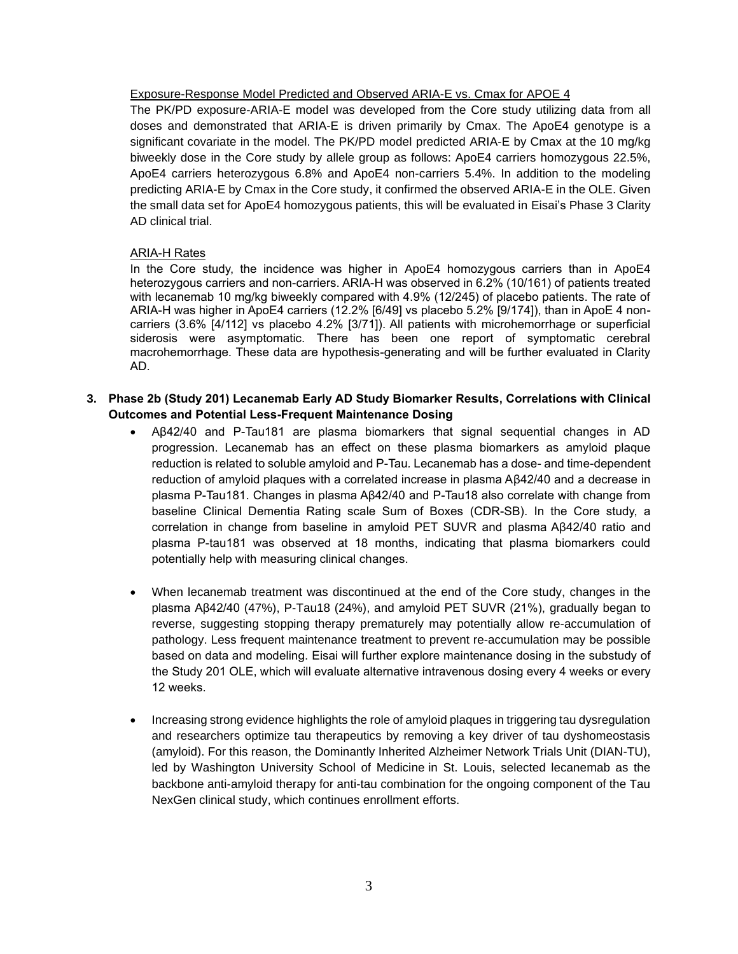### Exposure-Response Model Predicted and Observed ARIA-E vs. Cmax for APOE 4

The PK/PD exposure-ARIA-E model was developed from the Core study utilizing data from all doses and demonstrated that ARIA-E is driven primarily by Cmax. The ApoE4 genotype is a significant covariate in the model. The PK/PD model predicted ARIA-E by Cmax at the 10 mg/kg biweekly dose in the Core study by allele group as follows: ApoE4 carriers homozygous 22.5%, ApoE4 carriers heterozygous 6.8% and ApoE4 non-carriers 5.4%. In addition to the modeling predicting ARIA-E by Cmax in the Core study, it confirmed the observed ARIA-E in the OLE. Given the small data set for ApoE4 homozygous patients, this will be evaluated in Eisai's Phase 3 Clarity AD clinical trial.

# ARIA-H Rates

In the Core study, the incidence was higher in ApoE4 homozygous carriers than in ApoE4 heterozygous carriers and non-carriers. ARIA-H was observed in 6.2% (10/161) of patients treated with lecanemab 10 mg/kg biweekly compared with 4.9% (12/245) of placebo patients. The rate of ARIA-H was higher in ApoE4 carriers (12.2% [6/49] vs placebo 5.2% [9/174]), than in ApoE 4 noncarriers (3.6% [4/112] vs placebo 4.2% [3/71]). All patients with microhemorrhage or superficial siderosis were asymptomatic. There has been one report of symptomatic cerebral macrohemorrhage. These data are hypothesis-generating and will be further evaluated in Clarity AD.

# **3. Phase 2b (Study 201) Lecanemab Early AD Study Biomarker Results, Correlations with Clinical Outcomes and Potential Less-Frequent Maintenance Dosing**

- Aβ42/40 and P-Tau181 are plasma biomarkers that signal sequential changes in AD progression. Lecanemab has an effect on these plasma biomarkers as amyloid plaque reduction is related to soluble amyloid and P-Tau*.* Lecanemab has a dose- and time-dependent reduction of amyloid plaques with a correlated increase in plasma Aβ42/40 and a decrease in plasma P-Tau181. Changes in plasma Aβ42/40 and P-Tau18 also correlate with change from baseline Clinical Dementia Rating scale Sum of Boxes (CDR-SB). In the Core study, a correlation in change from baseline in amyloid PET SUVR and plasma Aβ42/40 ratio and plasma P-tau181 was observed at 18 months, indicating that plasma biomarkers could potentially help with measuring clinical changes.
- When lecanemab treatment was discontinued at the end of the Core study, changes in the plasma Aβ42/40 (47%), P-Tau18 (24%), and amyloid PET SUVR (21%), gradually began to reverse, suggesting stopping therapy prematurely may potentially allow re-accumulation of pathology. Less frequent maintenance treatment to prevent re-accumulation may be possible based on data and modeling. Eisai will further explore maintenance dosing in the substudy of the Study 201 OLE, which will evaluate alternative intravenous dosing every 4 weeks or every 12 weeks.
- Increasing strong evidence highlights the role of amyloid plaques in triggering tau dysregulation and researchers optimize tau therapeutics by removing a key driver of tau dyshomeostasis (amyloid). For this reason, the Dominantly Inherited Alzheimer Network Trials Unit (DIAN-TU), led by Washington University School of Medicine in St. Louis, selected lecanemab as the backbone anti-amyloid therapy for anti-tau combination for the ongoing component of the Tau NexGen clinical study, which continues enrollment efforts.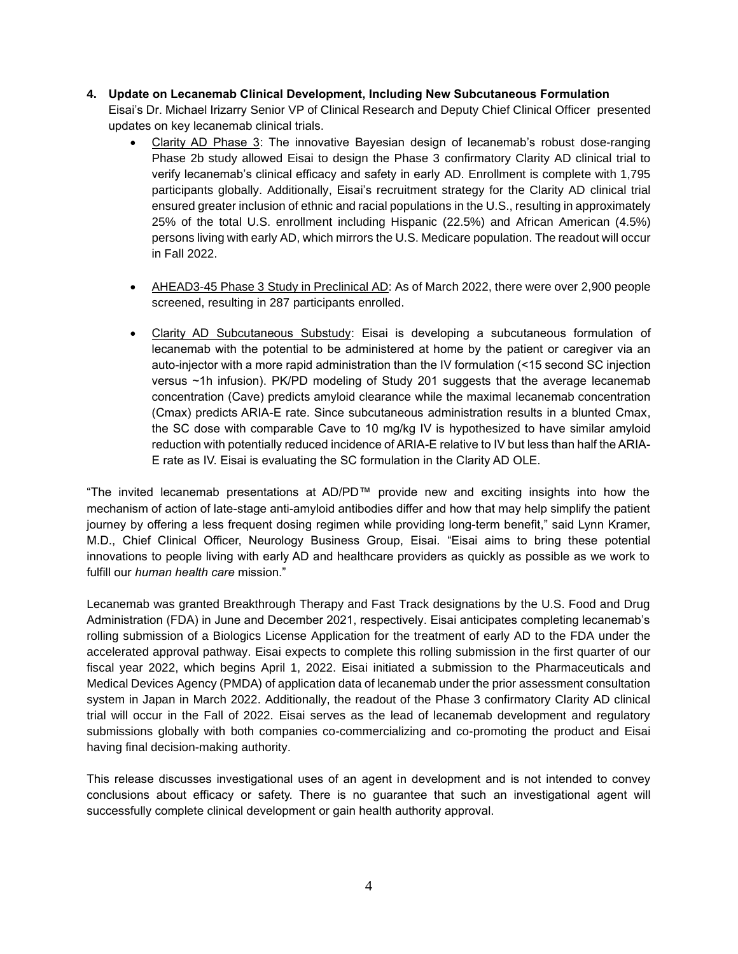**4. Update on Lecanemab Clinical Development, Including New Subcutaneous Formulation** 

Eisai's Dr. Michael Irizarry Senior VP of Clinical Research and Deputy Chief Clinical Officer presented updates on key lecanemab clinical trials.

- Clarity AD Phase 3: The innovative Bayesian design of lecanemab's robust dose-ranging Phase 2b study allowed Eisai to design the Phase 3 confirmatory Clarity AD clinical trial to verify lecanemab's clinical efficacy and safety in early AD. Enrollment is complete with 1,795 participants globally. Additionally, Eisai's recruitment strategy for the Clarity AD clinical trial ensured greater inclusion of ethnic and racial populations in the U.S., resulting in approximately 25% of the total U.S. enrollment including Hispanic (22.5%) and African American (4.5%) persons living with early AD, which mirrors the U.S. Medicare population. The readout will occur in Fall 2022.
- AHEAD3-45 Phase 3 Study in Preclinical AD: As of March 2022, there were over 2,900 people screened, resulting in 287 participants enrolled.
- Clarity AD Subcutaneous Substudy: Eisai is developing a subcutaneous formulation of lecanemab with the potential to be administered at home by the patient or caregiver via an auto-injector with a more rapid administration than the IV formulation (<15 second SC injection versus ~1h infusion). PK/PD modeling of Study 201 suggests that the average lecanemab concentration (Cave) predicts amyloid clearance while the maximal lecanemab concentration (Cmax) predicts ARIA-E rate. Since subcutaneous administration results in a blunted Cmax, the SC dose with comparable Cave to 10 mg/kg IV is hypothesized to have similar amyloid reduction with potentially reduced incidence of ARIA-E relative to IV but less than half the ARIA-E rate as IV. Eisai is evaluating the SC formulation in the Clarity AD OLE.

"The invited lecanemab presentations at AD/PD™ provide new and exciting insights into how the mechanism of action of late-stage anti-amyloid antibodies differ and how that may help simplify the patient journey by offering a less frequent dosing regimen while providing long-term benefit," said Lynn Kramer, M.D., Chief Clinical Officer, Neurology Business Group, Eisai. "Eisai aims to bring these potential innovations to people living with early AD and healthcare providers as quickly as possible as we work to fulfill our *human health care* mission."

Lecanemab was granted Breakthrough Therapy and Fast Track designations by the U.S. Food and Drug Administration (FDA) in June and December 2021, respectively. Eisai anticipates completing lecanemab's rolling submission of a Biologics License Application for the treatment of early AD to the FDA under the accelerated approval pathway. Eisai expects to complete this rolling submission in the first quarter of our fiscal year 2022, which begins April 1, 2022. Eisai initiated a submission to the Pharmaceuticals and Medical Devices Agency (PMDA) of application data of lecanemab under the prior assessment consultation system in Japan in March 2022. Additionally, the readout of the Phase 3 confirmatory Clarity AD clinical trial will occur in the Fall of 2022. Eisai serves as the lead of lecanemab development and regulatory submissions globally with both companies co-commercializing and co-promoting the product and Eisai having final decision-making authority.

This release discusses investigational uses of an agent in development and is not intended to convey conclusions about efficacy or safety. There is no guarantee that such an investigational agent will successfully complete clinical development or gain health authority approval.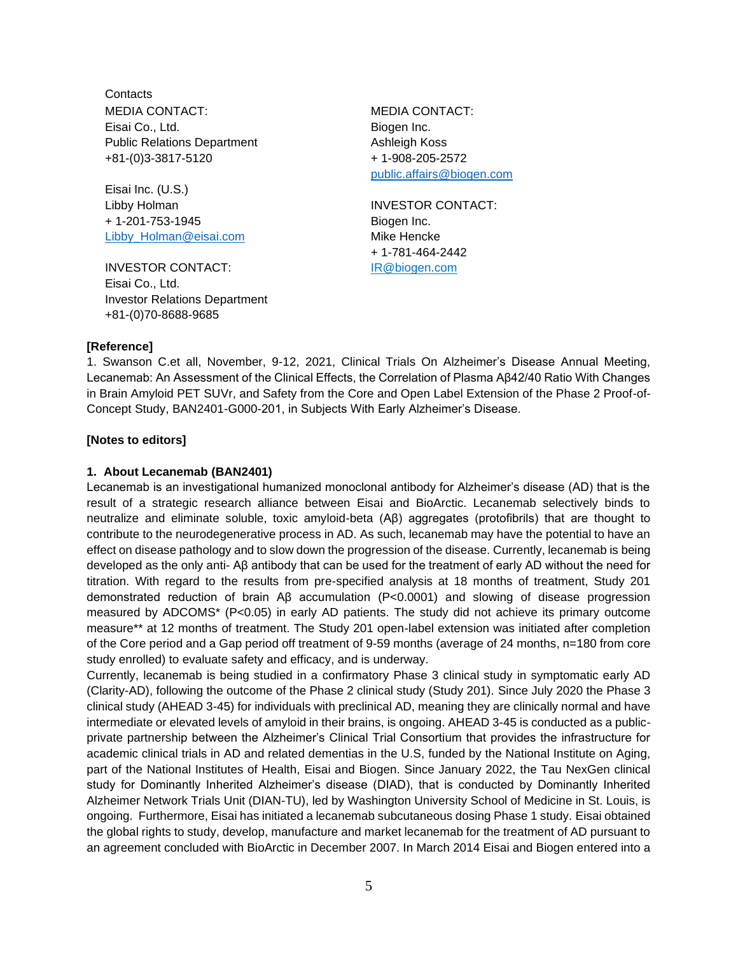**Contacts** MEDIA CONTACT: Eisai Co., Ltd. Public Relations Department +81-(0)3-3817-5120

Eisai Inc. (U.S.) Libby Holman + 1-201-753-1945 [Libby\\_Holman@eisai.com](file:///C:/Users/ecl06971/Desktop/0918/Libby_Holman@eisai.com)

INVESTOR CONTACT: Eisai Co., Ltd. Investor Relations Department +81-(0)70-8688-9685

MEDIA CONTACT: Biogen Inc. Ashleigh Koss + 1-908-205-2572 [public.affairs@biogen.com](mailto:public.affairs@biogen.com)

INVESTOR CONTACT: Biogen Inc. Mike Hencke + 1-781-464-2442 IR@biogen.com

### **[Reference]**

1. Swanson C.et all, November, 9-12, 2021, Clinical Trials On Alzheimer's Disease Annual Meeting, Lecanemab: An Assessment of the Clinical Effects, the Correlation of Plasma Aβ42/40 Ratio With Changes in Brain Amyloid PET SUVr, and Safety from the Core and Open Label Extension of the Phase 2 Proof-of-Concept Study, BAN2401-G000-201, in Subjects With Early Alzheimer's Disease.

#### **[Notes to editors]**

#### **1. About Lecanemab (BAN2401)**

Lecanemab is an investigational humanized monoclonal antibody for Alzheimer's disease (AD) that is the result of a strategic research alliance between Eisai and BioArctic. Lecanemab selectively binds to neutralize and eliminate soluble, toxic amyloid-beta (Aβ) aggregates (protofibrils) that are thought to contribute to the neurodegenerative process in AD. As such, lecanemab may have the potential to have an effect on disease pathology and to slow down the progression of the disease. Currently, lecanemab is being developed as the only anti- Aβ antibody that can be used for the treatment of early AD without the need for titration. With regard to the results from pre-specified analysis at 18 months of treatment, Study 201 demonstrated reduction of brain Aβ accumulation (P<0.0001) and slowing of disease progression measured by ADCOMS\* (P<0.05) in early AD patients. The study did not achieve its primary outcome measure\*\* at 12 months of treatment. The Study 201 open-label extension was initiated after completion of the Core period and a Gap period off treatment of 9-59 months (average of 24 months, n=180 from core study enrolled) to evaluate safety and efficacy, and is underway.

Currently, lecanemab is being studied in a confirmatory Phase 3 clinical study in symptomatic early AD (Clarity-AD), following the outcome of the Phase 2 clinical study (Study 201). Since July 2020 the Phase 3 clinical study (AHEAD 3-45) for individuals with preclinical AD, meaning they are clinically normal and have intermediate or elevated levels of amyloid in their brains, is ongoing. AHEAD 3-45 is conducted as a publicprivate partnership between the Alzheimer's Clinical Trial Consortium that provides the infrastructure for academic clinical trials in AD and related dementias in the U.S, funded by the National Institute on Aging, part of the National Institutes of Health, Eisai and Biogen. Since January 2022, the Tau NexGen clinical study for Dominantly Inherited Alzheimer's disease (DIAD), that is conducted by Dominantly Inherited Alzheimer Network Trials Unit (DIAN-TU), led by Washington University School of Medicine in St. Louis, is ongoing. Furthermore, Eisai has initiated a lecanemab subcutaneous dosing Phase 1 study. Eisai obtained the global rights to study, develop, manufacture and market lecanemab for the treatment of AD pursuant to an agreement concluded with BioArctic in December 2007. In March 2014 Eisai and Biogen entered into a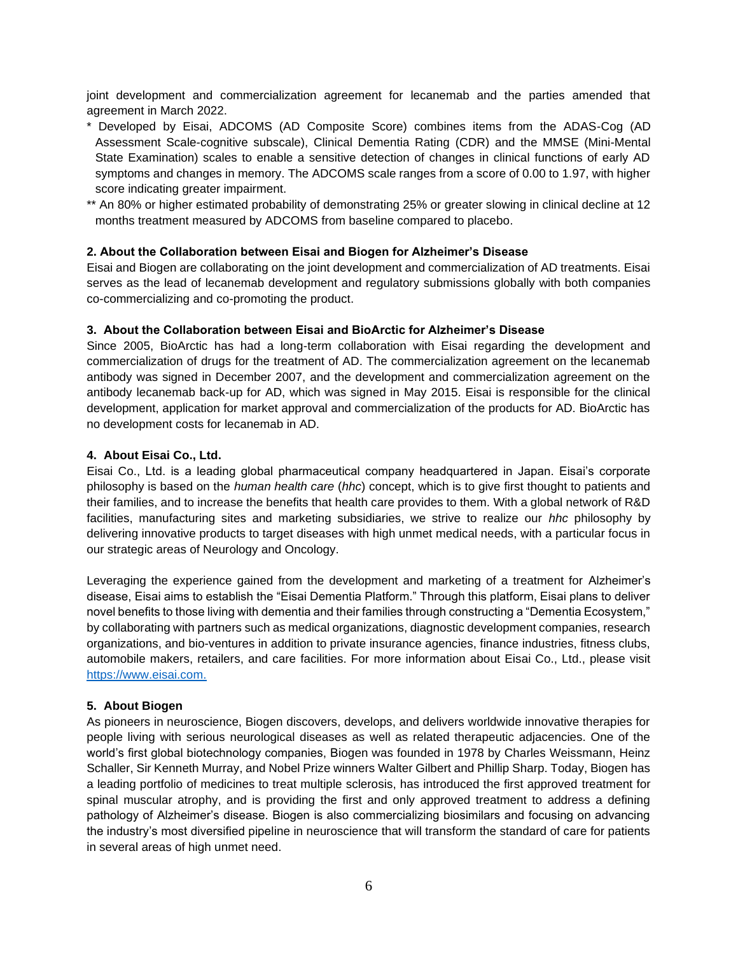joint development and commercialization agreement for lecanemab and the parties amended that agreement in March 2022.

- \* Developed by Eisai, ADCOMS (AD Composite Score) combines items from the ADAS-Cog (AD Assessment Scale-cognitive subscale), Clinical Dementia Rating (CDR) and the MMSE (Mini-Mental State Examination) scales to enable a sensitive detection of changes in clinical functions of early AD symptoms and changes in memory. The ADCOMS scale ranges from a score of 0.00 to 1.97, with higher score indicating greater impairment.
- \*\* An 80% or higher estimated probability of demonstrating 25% or greater slowing in clinical decline at 12 months treatment measured by ADCOMS from baseline compared to placebo.

# **2. About the Collaboration between Eisai and Biogen for Alzheimer's Disease**

Eisai and Biogen are collaborating on the joint development and commercialization of AD treatments. Eisai serves as the lead of lecanemab development and regulatory submissions globally with both companies co-commercializing and co-promoting the product.

# **3. About the Collaboration between Eisai and BioArctic for Alzheimer's Disease**

Since 2005, BioArctic has had a long-term collaboration with Eisai regarding the development and commercialization of drugs for the treatment of AD. The commercialization agreement on the lecanemab antibody was signed in December 2007, and the development and commercialization agreement on the antibody lecanemab back-up for AD, which was signed in May 2015. Eisai is responsible for the clinical development, application for market approval and commercialization of the products for AD. BioArctic has no development costs for lecanemab in AD.

# **4. About Eisai Co., Ltd.**

Eisai Co., Ltd. is a leading global pharmaceutical company headquartered in Japan. Eisai's corporate philosophy is based on the *human health care* (*hhc*) concept, which is to give first thought to patients and their families, and to increase the benefits that health care provides to them. With a global network of R&D facilities, manufacturing sites and marketing subsidiaries, we strive to realize our *hhc* philosophy by delivering innovative products to target diseases with high unmet medical needs, with a particular focus in our strategic areas of Neurology and Oncology.

Leveraging the experience gained from the development and marketing of a treatment for Alzheimer's disease, Eisai aims to establish the "Eisai Dementia Platform." Through this platform, Eisai plans to deliver novel benefits to those living with dementia and their families through constructing a "Dementia Ecosystem," by collaborating with partners such as medical organizations, diagnostic development companies, research organizations, and bio-ventures in addition to private insurance agencies, finance industries, fitness clubs, automobile makers, retailers, and care facilities. For more information about Eisai Co., Ltd., please visit [https://www.eisai.com.](https://www.eisai.com/)

### **5. About Biogen**

As pioneers in neuroscience, Biogen discovers, develops, and delivers worldwide innovative therapies for people living with serious neurological diseases as well as related therapeutic adjacencies. One of the world's first global biotechnology companies, Biogen was founded in 1978 by Charles Weissmann, Heinz Schaller, Sir Kenneth Murray, and Nobel Prize winners Walter Gilbert and Phillip Sharp. Today, Biogen has a leading portfolio of medicines to treat multiple sclerosis, has introduced the first approved treatment for spinal muscular atrophy, and is providing the first and only approved treatment to address a defining pathology of Alzheimer's disease. Biogen is also commercializing biosimilars and focusing on advancing the industry's most diversified pipeline in neuroscience that will transform the standard of care for patients in several areas of high unmet need.